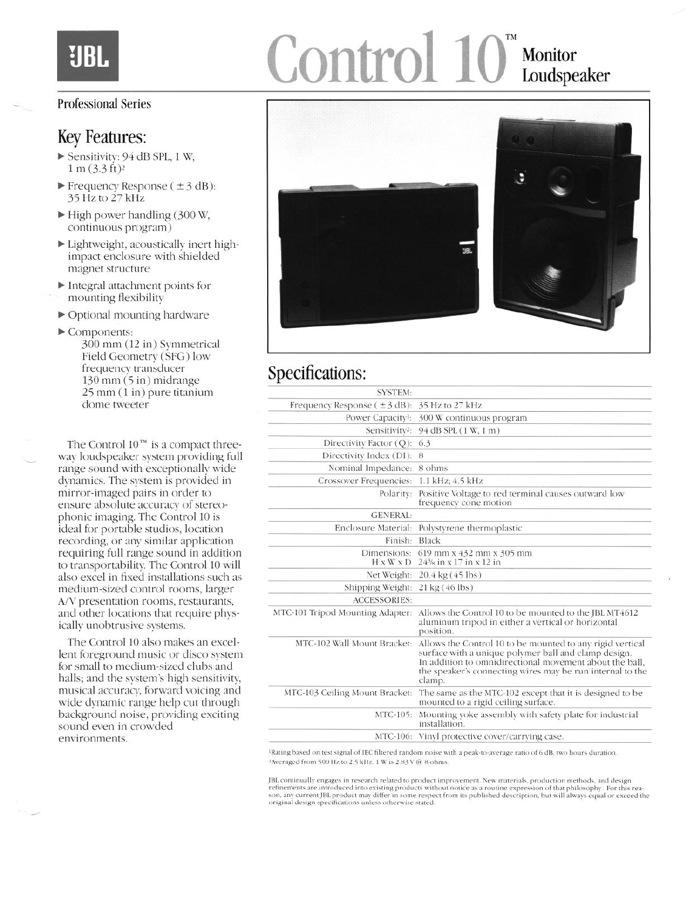# UBI

# Control 10<sup>°</sup> Monitor Loudspeaker

#### Professional Series

### Key Features:

- $\blacktriangleright$  Sensitivity: 94 dB SPL, 1 W,  $1 m (3.3 ft)^2$
- $\blacktriangleright$  Frequency Response ( $\pm$ 3 dB): 35 Hz to 27 kHz
- $\blacktriangleright$  High power handling (300 W, continuous program)
- $\blacktriangleright$  Lightweight, acoustically inert highimpact enclosure with shielded magnet structure
- $\blacktriangleright$  Integral attachment points for mounting flexibility
- $\triangleright$  Optional mounting hardware
- $\blacktriangleright$  Components:

300 mm (12 in) Symmetrical Field Geometry (SFG) low frequency transducer I30 mm (5 in) midrange 25 mm (1 in) pure titanium dome tweeter

The Control  $10^{rw}$  is a compact threeway loudspeaker system providing full range sound with exceptionally wide dynamics. The system is provided in mirror-imaged pairs in order to ensure absolute accuracy of stereophonic imaging. The Control 10 is ideal for portable studios, location recording, or any similar application requiring full range sound in addition to transportability. The Control 10 will also excel in fixed installations such as medium-sized control rooms, larger A/V presentation rooms, restaurants, and other locations that require physically unobtrusive systems.

The Control 10 also makes an excellent foreground music or disco system for small to medium-sized clubs and halls; and the system's high sensitivity, musical accuracy, forward voicing and wide dynamic range help cut through background noise, providing exciting sound even in crowded environments.



## Specifications:

| <b>SYSTEM:</b>                   |                                                                                                                                                                                                                                                     |
|----------------------------------|-----------------------------------------------------------------------------------------------------------------------------------------------------------------------------------------------------------------------------------------------------|
| Frequency Response $(\pm 3$ dB): | 35 Hz to 27 kHz                                                                                                                                                                                                                                     |
|                                  | Power Capacity!: 300 W continuous program                                                                                                                                                                                                           |
|                                  | Sensitivity <sup>2</sup> : 94 dB SPL (1 W, 1 m)                                                                                                                                                                                                     |
| Directivity Factor (Q): 6.3      |                                                                                                                                                                                                                                                     |
| Directivity Index (DI): 8        |                                                                                                                                                                                                                                                     |
| Nominal Impedance: 8 ohms        |                                                                                                                                                                                                                                                     |
| Crossover Frequencies:           | 1.1 kHz; 4.5 kHz                                                                                                                                                                                                                                    |
| Polarity:                        | Positive Voltage to red terminal causes outward low<br>frequency cone motion                                                                                                                                                                        |
| <b>GENERAL:</b>                  |                                                                                                                                                                                                                                                     |
|                                  | Enclosure Material: Polystyrene thermoplastic                                                                                                                                                                                                       |
| Finish: Black                    |                                                                                                                                                                                                                                                     |
| Dimensions:                      | 619 mm x 432 mm x 305 mm<br>$H \times W \times D$ 24% in $x$ 17 in $x$ 12 in                                                                                                                                                                        |
| Net Weight:                      | $20.4 \text{ kg} (45 \text{ lbs})$                                                                                                                                                                                                                  |
| Shipping Weight:                 | 21 kg (46 lbs)                                                                                                                                                                                                                                      |
| <b>ACCESSORIES:</b>              |                                                                                                                                                                                                                                                     |
| MTC-101 Tripod Mounting Adapter: | Allows the Control 10 to be mounted to the JBL MT4612<br>aluminum tripod in either a vertical or horizontal<br>position.                                                                                                                            |
| MTC-102 Wall Mount Bracket:      | Allows the Control 10 to be mounted to any rigid vertical<br>surface with a unique polymer ball and clamp design.<br>In addition to omnidirectional movement about the ball.<br>the speaker's connecting wires may be run internal to the<br>clamp. |
| MTC-103 Ceiling Mount Bracket:   | The same as the MTC-102 except that it is designed to be<br>mounted to a rigid ceiling surface.                                                                                                                                                     |
| MTC-105:                         | Mounting voke assembly with safety plate for industrial<br>installation.                                                                                                                                                                            |
|                                  | MTC-106: Vinyl protective cover/carrying case.                                                                                                                                                                                                      |
|                                  |                                                                                                                                                                                                                                                     |

<sup>1</sup>Rating based on test signal of IEC filtered random noise with a peak-to-average ratio of 6 dB, two hours duration. <sup>2</sup>Averaged from 500 Hz to 2.5 kHz. 1 W is 2.83 V @ 8 ohms.

JBL continually engages in research related to product improvement. New materials, production methods, and design<br>refinements are introduced into existing products without notice as a routine expression of that philosophy